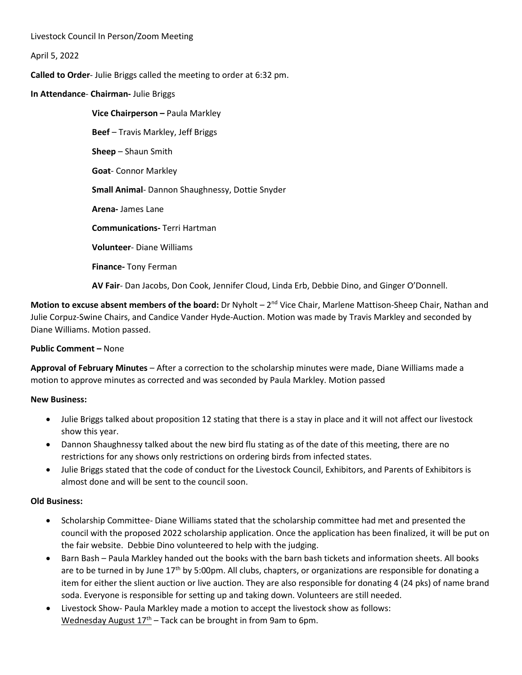Livestock Council In Person/Zoom Meeting

April 5, 2022

**Called to Order**- Julie Briggs called the meeting to order at 6:32 pm.

**In Attendance**- **Chairman-** Julie Briggs

**Vice Chairperson –** Paula Markley **Beef** – Travis Markley, Jeff Briggs **Sheep** – Shaun Smith **Goat**- Connor Markley **Small Animal**- Dannon Shaughnessy, Dottie Snyder **Arena-** James Lane **Communications-** Terri Hartman **Volunteer**- Diane Williams **Finance-** Tony Ferman

**AV Fair**- Dan Jacobs, Don Cook, Jennifer Cloud, Linda Erb, Debbie Dino, and Ginger O'Donnell.

**Motion to excuse absent members of the board:** Dr Nyholt – 2<sup>nd</sup> Vice Chair, Marlene Mattison-Sheep Chair, Nathan and Julie Corpuz-Swine Chairs, and Candice Vander Hyde-Auction. Motion was made by Travis Markley and seconded by Diane Williams. Motion passed.

## **Public Comment –** None

**Approval of February Minutes** – After a correction to the scholarship minutes were made, Diane Williams made a motion to approve minutes as corrected and was seconded by Paula Markley. Motion passed

#### **New Business:**

- Julie Briggs talked about proposition 12 stating that there is a stay in place and it will not affect our livestock show this year.
- Dannon Shaughnessy talked about the new bird flu stating as of the date of this meeting, there are no restrictions for any shows only restrictions on ordering birds from infected states.
- Julie Briggs stated that the code of conduct for the Livestock Council, Exhibitors, and Parents of Exhibitors is almost done and will be sent to the council soon.

## **Old Business:**

- Scholarship Committee- Diane Williams stated that the scholarship committee had met and presented the council with the proposed 2022 scholarship application. Once the application has been finalized, it will be put on the fair website. Debbie Dino volunteered to help with the judging.
- Barn Bash Paula Markley handed out the books with the barn bash tickets and information sheets. All books are to be turned in by June  $17<sup>th</sup>$  by 5:00pm. All clubs, chapters, or organizations are responsible for donating a item for either the slient auction or live auction. They are also responsible for donating 4 (24 pks) of name brand soda. Everyone is responsible for setting up and taking down. Volunteers are still needed.
- Livestock Show- Paula Markley made a motion to accept the livestock show as follows: Wednesday August  $17<sup>th</sup>$  – Tack can be brought in from 9am to 6pm.